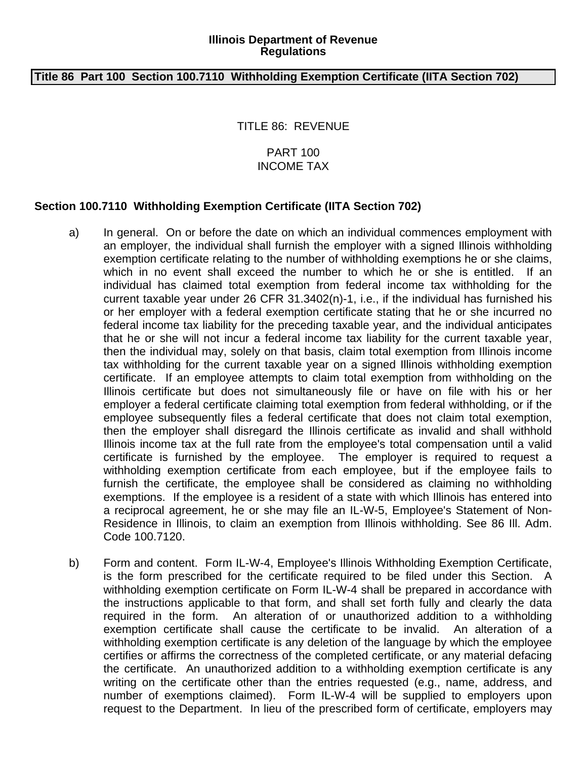## **Illinois Department of Revenue Regulations**

## **Title 86 Part 100 Section 100.7110 Withholding Exemption Certificate (IITA Section 702)**

TITLE 86: REVENUE

## PART 100 INCOME TAX

## **Section 100.7110 Withholding Exemption Certificate (IITA Section 702)**

- a) In general. On or before the date on which an individual commences employment with an employer, the individual shall furnish the employer with a signed Illinois withholding exemption certificate relating to the number of withholding exemptions he or she claims, which in no event shall exceed the number to which he or she is entitled. If an individual has claimed total exemption from federal income tax withholding for the current taxable year under 26 CFR 31.3402(n)-1, i.e., if the individual has furnished his or her employer with a federal exemption certificate stating that he or she incurred no federal income tax liability for the preceding taxable year, and the individual anticipates that he or she will not incur a federal income tax liability for the current taxable year, then the individual may, solely on that basis, claim total exemption from Illinois income tax withholding for the current taxable year on a signed Illinois withholding exemption certificate. If an employee attempts to claim total exemption from withholding on the Illinois certificate but does not simultaneously file or have on file with his or her employer a federal certificate claiming total exemption from federal withholding, or if the employee subsequently files a federal certificate that does not claim total exemption, then the employer shall disregard the Illinois certificate as invalid and shall withhold Illinois income tax at the full rate from the employee's total compensation until a valid certificate is furnished by the employee. The employer is required to request a withholding exemption certificate from each employee, but if the employee fails to furnish the certificate, the employee shall be considered as claiming no withholding exemptions. If the employee is a resident of a state with which Illinois has entered into a reciprocal agreement, he or she may file an IL-W-5, Employee's Statement of Non-Residence in Illinois, to claim an exemption from Illinois withholding. See 86 Ill. Adm. Code 100.7120.
- b) Form and content. Form IL-W-4, Employee's Illinois Withholding Exemption Certificate, is the form prescribed for the certificate required to be filed under this Section. A withholding exemption certificate on Form IL-W-4 shall be prepared in accordance with the instructions applicable to that form, and shall set forth fully and clearly the data required in the form. An alteration of or unauthorized addition to a withholding exemption certificate shall cause the certificate to be invalid. An alteration of a withholding exemption certificate is any deletion of the language by which the employee certifies or affirms the correctness of the completed certificate, or any material defacing the certificate. An unauthorized addition to a withholding exemption certificate is any writing on the certificate other than the entries requested (e.g., name, address, and number of exemptions claimed). Form IL-W-4 will be supplied to employers upon request to the Department. In lieu of the prescribed form of certificate, employers may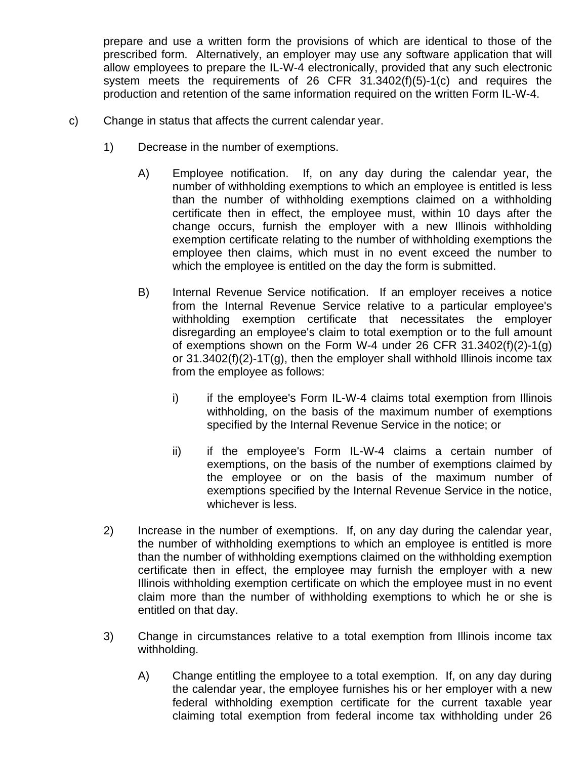prepare and use a written form the provisions of which are identical to those of the prescribed form. Alternatively, an employer may use any software application that will allow employees to prepare the IL-W-4 electronically, provided that any such electronic system meets the requirements of 26 CFR 31.3402(f)(5)-1(c) and requires the production and retention of the same information required on the written Form IL-W-4.

- c) Change in status that affects the current calendar year.
	- 1) Decrease in the number of exemptions.
		- A) Employee notification. If, on any day during the calendar year, the number of withholding exemptions to which an employee is entitled is less than the number of withholding exemptions claimed on a withholding certificate then in effect, the employee must, within 10 days after the change occurs, furnish the employer with a new Illinois withholding exemption certificate relating to the number of withholding exemptions the employee then claims, which must in no event exceed the number to which the employee is entitled on the day the form is submitted.
		- B) Internal Revenue Service notification. If an employer receives a notice from the Internal Revenue Service relative to a particular employee's withholding exemption certificate that necessitates the employer disregarding an employee's claim to total exemption or to the full amount of exemptions shown on the Form W-4 under 26 CFR 31.3402(f)(2)-1(g) or  $31.3402(f)(2)-1T(g)$ , then the employer shall withhold Illinois income tax from the employee as follows:
			- i) if the employee's Form IL-W-4 claims total exemption from Illinois withholding, on the basis of the maximum number of exemptions specified by the Internal Revenue Service in the notice; or
			- ii) if the employee's Form IL-W-4 claims a certain number of exemptions, on the basis of the number of exemptions claimed by the employee or on the basis of the maximum number of exemptions specified by the Internal Revenue Service in the notice, whichever is less.
	- 2) Increase in the number of exemptions. If, on any day during the calendar year, the number of withholding exemptions to which an employee is entitled is more than the number of withholding exemptions claimed on the withholding exemption certificate then in effect, the employee may furnish the employer with a new Illinois withholding exemption certificate on which the employee must in no event claim more than the number of withholding exemptions to which he or she is entitled on that day.
	- 3) Change in circumstances relative to a total exemption from Illinois income tax withholding.
		- A) Change entitling the employee to a total exemption. If, on any day during the calendar year, the employee furnishes his or her employer with a new federal withholding exemption certificate for the current taxable year claiming total exemption from federal income tax withholding under 26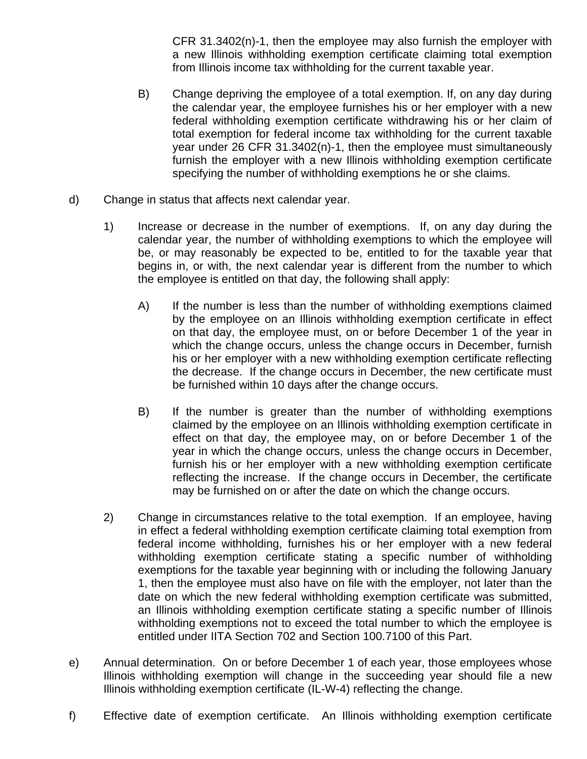CFR 31.3402(n)-1, then the employee may also furnish the employer with a new Illinois withholding exemption certificate claiming total exemption from Illinois income tax withholding for the current taxable year.

- B) Change depriving the employee of a total exemption. If, on any day during the calendar year, the employee furnishes his or her employer with a new federal withholding exemption certificate withdrawing his or her claim of total exemption for federal income tax withholding for the current taxable year under 26 CFR 31.3402(n)-1, then the employee must simultaneously furnish the employer with a new Illinois withholding exemption certificate specifying the number of withholding exemptions he or she claims.
- d) Change in status that affects next calendar year.
	- 1) Increase or decrease in the number of exemptions. If, on any day during the calendar year, the number of withholding exemptions to which the employee will be, or may reasonably be expected to be, entitled to for the taxable year that begins in, or with, the next calendar year is different from the number to which the employee is entitled on that day, the following shall apply:
		- A) If the number is less than the number of withholding exemptions claimed by the employee on an Illinois withholding exemption certificate in effect on that day, the employee must, on or before December 1 of the year in which the change occurs, unless the change occurs in December, furnish his or her employer with a new withholding exemption certificate reflecting the decrease. If the change occurs in December, the new certificate must be furnished within 10 days after the change occurs.
		- B) If the number is greater than the number of withholding exemptions claimed by the employee on an Illinois withholding exemption certificate in effect on that day, the employee may, on or before December 1 of the year in which the change occurs, unless the change occurs in December, furnish his or her employer with a new withholding exemption certificate reflecting the increase. If the change occurs in December, the certificate may be furnished on or after the date on which the change occurs.
	- 2) Change in circumstances relative to the total exemption. If an employee, having in effect a federal withholding exemption certificate claiming total exemption from federal income withholding, furnishes his or her employer with a new federal withholding exemption certificate stating a specific number of withholding exemptions for the taxable year beginning with or including the following January 1, then the employee must also have on file with the employer, not later than the date on which the new federal withholding exemption certificate was submitted, an Illinois withholding exemption certificate stating a specific number of Illinois withholding exemptions not to exceed the total number to which the employee is entitled under IITA Section 702 and Section 100.7100 of this Part.
- e) Annual determination. On or before December 1 of each year, those employees whose Illinois withholding exemption will change in the succeeding year should file a new Illinois withholding exemption certificate (IL-W-4) reflecting the change.
- f) Effective date of exemption certificate. An Illinois withholding exemption certificate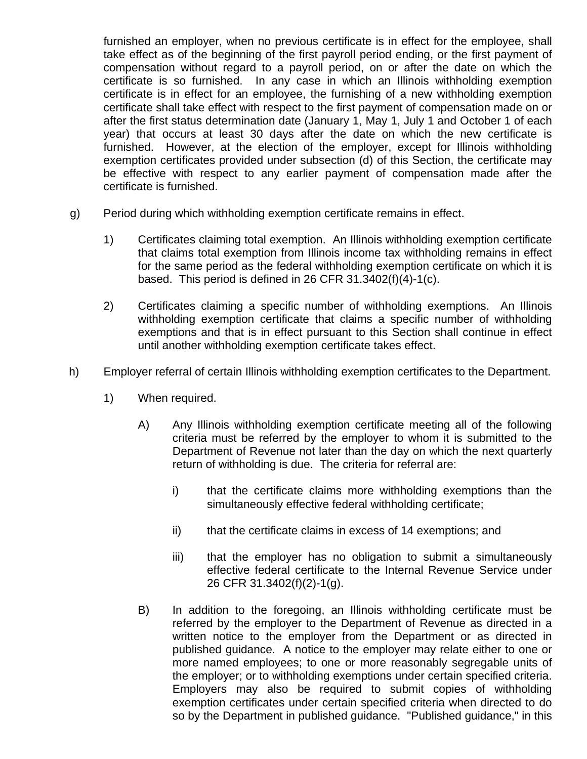furnished an employer, when no previous certificate is in effect for the employee, shall take effect as of the beginning of the first payroll period ending, or the first payment of compensation without regard to a payroll period, on or after the date on which the certificate is so furnished. In any case in which an Illinois withholding exemption certificate is in effect for an employee, the furnishing of a new withholding exemption certificate shall take effect with respect to the first payment of compensation made on or after the first status determination date (January 1, May 1, July 1 and October 1 of each year) that occurs at least 30 days after the date on which the new certificate is furnished. However, at the election of the employer, except for Illinois withholding exemption certificates provided under subsection (d) of this Section, the certificate may be effective with respect to any earlier payment of compensation made after the certificate is furnished.

- g) Period during which withholding exemption certificate remains in effect.
	- 1) Certificates claiming total exemption. An Illinois withholding exemption certificate that claims total exemption from Illinois income tax withholding remains in effect for the same period as the federal withholding exemption certificate on which it is based. This period is defined in 26 CFR 31.3402(f)(4)-1(c).
	- 2) Certificates claiming a specific number of withholding exemptions. An Illinois withholding exemption certificate that claims a specific number of withholding exemptions and that is in effect pursuant to this Section shall continue in effect until another withholding exemption certificate takes effect.
- h) Employer referral of certain Illinois withholding exemption certificates to the Department.
	- 1) When required.
		- A) Any Illinois withholding exemption certificate meeting all of the following criteria must be referred by the employer to whom it is submitted to the Department of Revenue not later than the day on which the next quarterly return of withholding is due. The criteria for referral are:
			- i) that the certificate claims more withholding exemptions than the simultaneously effective federal withholding certificate;
			- ii) that the certificate claims in excess of 14 exemptions; and
			- iii) that the employer has no obligation to submit a simultaneously effective federal certificate to the Internal Revenue Service under 26 CFR 31.3402(f)(2)-1(g).
		- B) In addition to the foregoing, an Illinois withholding certificate must be referred by the employer to the Department of Revenue as directed in a written notice to the employer from the Department or as directed in published guidance. A notice to the employer may relate either to one or more named employees; to one or more reasonably segregable units of the employer; or to withholding exemptions under certain specified criteria. Employers may also be required to submit copies of withholding exemption certificates under certain specified criteria when directed to do so by the Department in published guidance. "Published guidance," in this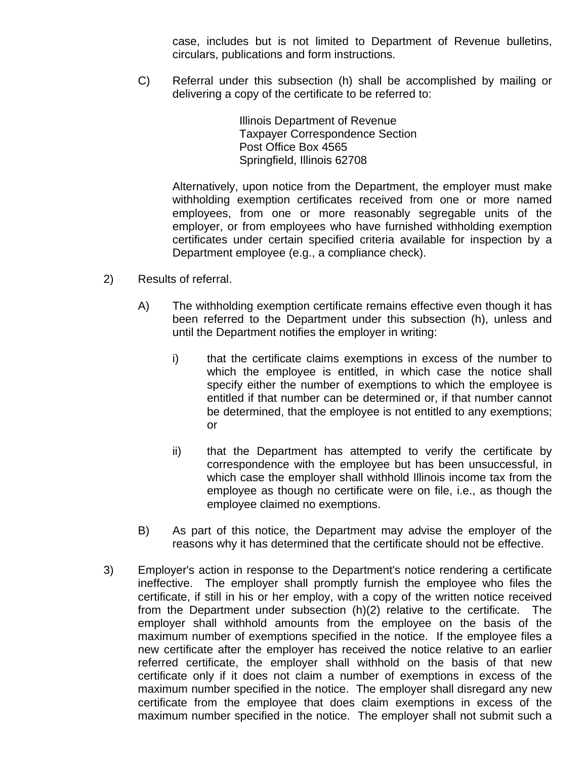case, includes but is not limited to Department of Revenue bulletins, circulars, publications and form instructions.

C) Referral under this subsection (h) shall be accomplished by mailing or delivering a copy of the certificate to be referred to:

> Illinois Department of Revenue Taxpayer Correspondence Section Post Office Box 4565 Springfield, Illinois 62708

Alternatively, upon notice from the Department, the employer must make withholding exemption certificates received from one or more named employees, from one or more reasonably segregable units of the employer, or from employees who have furnished withholding exemption certificates under certain specified criteria available for inspection by a Department employee (e.g., a compliance check).

- 2) Results of referral.
	- A) The withholding exemption certificate remains effective even though it has been referred to the Department under this subsection (h), unless and until the Department notifies the employer in writing:
		- i) that the certificate claims exemptions in excess of the number to which the employee is entitled, in which case the notice shall specify either the number of exemptions to which the employee is entitled if that number can be determined or, if that number cannot be determined, that the employee is not entitled to any exemptions; or
		- ii) that the Department has attempted to verify the certificate by correspondence with the employee but has been unsuccessful, in which case the employer shall withhold Illinois income tax from the employee as though no certificate were on file, i.e., as though the employee claimed no exemptions.
	- B) As part of this notice, the Department may advise the employer of the reasons why it has determined that the certificate should not be effective.
- 3) Employer's action in response to the Department's notice rendering a certificate ineffective. The employer shall promptly furnish the employee who files the certificate, if still in his or her employ, with a copy of the written notice received from the Department under subsection (h)(2) relative to the certificate. The employer shall withhold amounts from the employee on the basis of the maximum number of exemptions specified in the notice. If the employee files a new certificate after the employer has received the notice relative to an earlier referred certificate, the employer shall withhold on the basis of that new certificate only if it does not claim a number of exemptions in excess of the maximum number specified in the notice. The employer shall disregard any new certificate from the employee that does claim exemptions in excess of the maximum number specified in the notice. The employer shall not submit such a